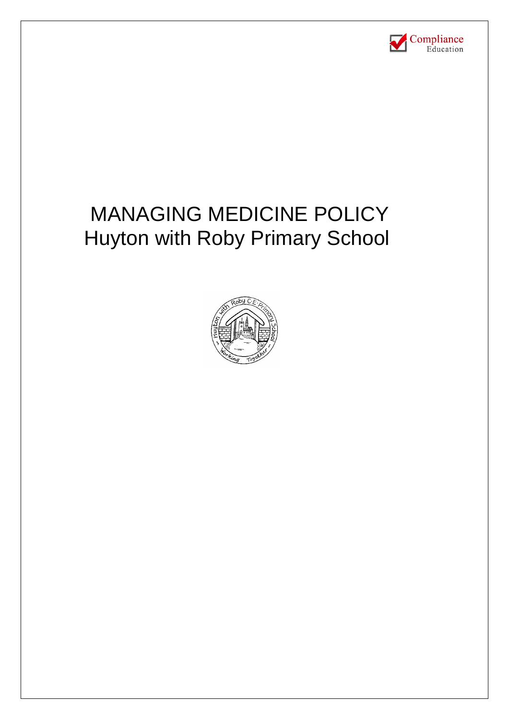

# MANAGING MEDICINE POLICY Huyton with Roby Primary School

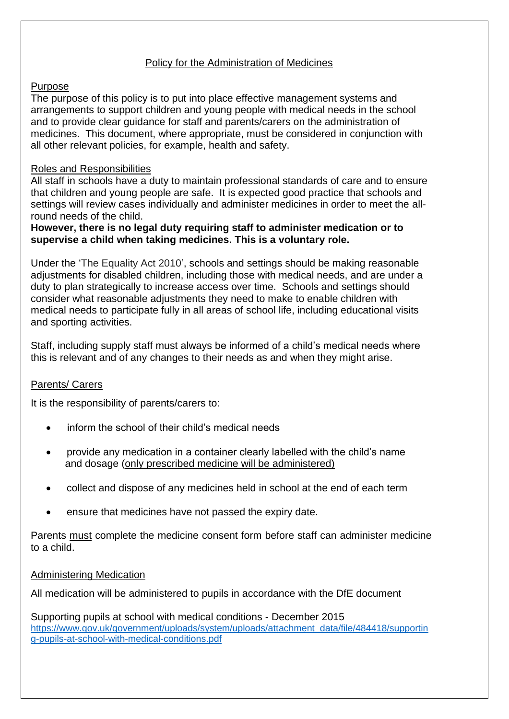### Policy for the Administration of Medicines

#### Purpose

The purpose of this policy is to put into place effective management systems and arrangements to support children and young people with medical needs in the school and to provide clear guidance for staff and parents/carers on the administration of medicines. This document, where appropriate, must be considered in conjunction with all other relevant policies, for example, health and safety.

#### Roles and Responsibilities

All staff in schools have a duty to maintain professional standards of care and to ensure that children and young people are safe. It is expected good practice that schools and settings will review cases individually and administer medicines in order to meet the allround needs of the child.

#### **However, there is no legal duty requiring staff to administer medication or to supervise a child when taking medicines. This is a voluntary role.**

Under the 'The Equality Act 2010', schools and settings should be making reasonable adjustments for disabled children, including those with medical needs, and are under a duty to plan strategically to increase access over time. Schools and settings should consider what reasonable adjustments they need to make to enable children with medical needs to participate fully in all areas of school life, including educational visits and sporting activities.

Staff, including supply staff must always be informed of a child's medical needs where this is relevant and of any changes to their needs as and when they might arise.

#### Parents/ Carers

It is the responsibility of parents/carers to:

- inform the school of their child's medical needs
- provide any medication in a container clearly labelled with the child's name and dosage (only prescribed medicine will be administered)
- collect and dispose of any medicines held in school at the end of each term
- ensure that medicines have not passed the expiry date.

Parents must complete the medicine consent form before staff can administer medicine to a child.

#### Administering Medication

All medication will be administered to pupils in accordance with the DfE document

Supporting pupils at school with medical conditions - December 2015 [https://www.gov.uk/government/uploads/system/uploads/attachment\\_data/file/484418/supportin](https://www.gov.uk/government/uploads/system/uploads/attachment_data/file/484418/supporting-pupils-at-school-with-medical-conditions.pdf) [g-pupils-at-school-with-medical-conditions.pdf](https://www.gov.uk/government/uploads/system/uploads/attachment_data/file/484418/supporting-pupils-at-school-with-medical-conditions.pdf)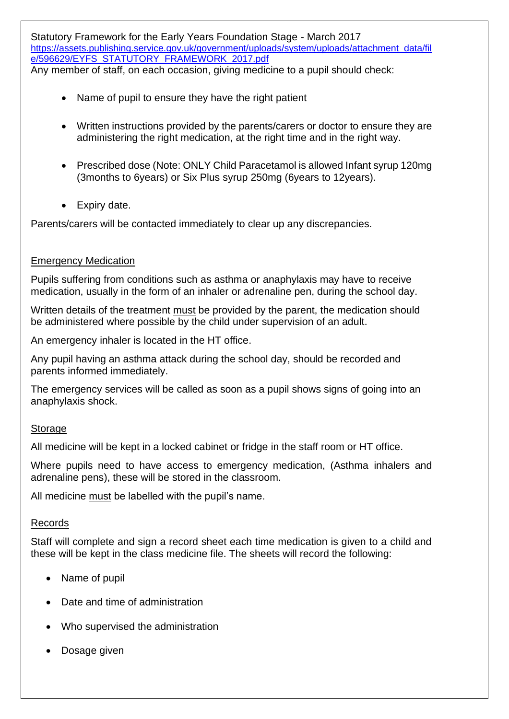Statutory Framework for the Early Years Foundation Stage - March 2017 https://assets.publishing.service.gov.uk/government/uploads/system/uploads/attachment\_data/fil e/596629/EYFS\_STATUTORY\_FRAMEWORK\_2017.pdf Any member of staff, on each occasion, giving medicine to a pupil should check:

- Name of pupil to ensure they have the right patient
- Written instructions provided by the parents/carers or doctor to ensure they are administering the right medication, at the right time and in the right way.
- Prescribed dose (Note: ONLY Child Paracetamol is allowed Infant syrup 120mg (3months to 6years) or Six Plus syrup 250mg (6years to 12years).
- Expiry date.

Parents/carers will be contacted immediately to clear up any discrepancies.

#### Emergency Medication

Pupils suffering from conditions such as asthma or anaphylaxis may have to receive medication, usually in the form of an inhaler or adrenaline pen, during the school day.

Written details of the treatment must be provided by the parent, the medication should be administered where possible by the child under supervision of an adult.

An emergency inhaler is located in the HT office.

Any pupil having an asthma attack during the school day, should be recorded and parents informed immediately.

The emergency services will be called as soon as a pupil shows signs of going into an anaphylaxis shock.

#### **Storage**

All medicine will be kept in a locked cabinet or fridge in the staff room or HT office.

Where pupils need to have access to emergency medication, (Asthma inhalers and adrenaline pens), these will be stored in the classroom.

All medicine must be labelled with the pupil's name.

#### Records

Staff will complete and sign a record sheet each time medication is given to a child and these will be kept in the class medicine file. The sheets will record the following:

- Name of pupil
- Date and time of administration
- Who supervised the administration
- Dosage given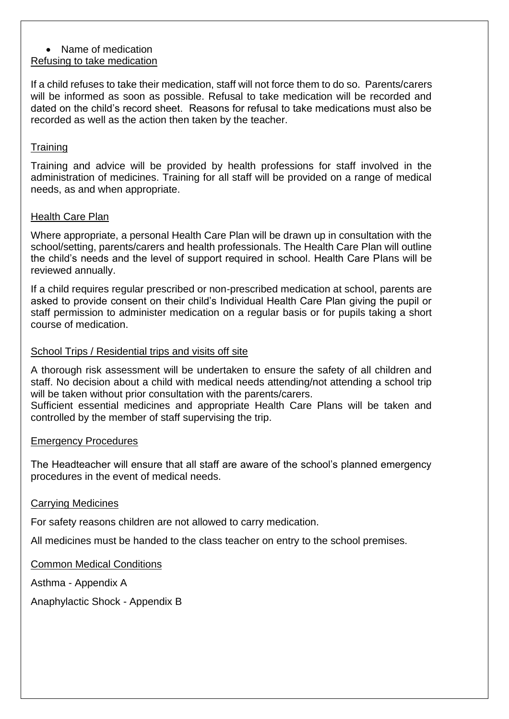#### • Name of medication Refusing to take medication

If a child refuses to take their medication, staff will not force them to do so. Parents/carers

will be informed as soon as possible. Refusal to take medication will be recorded and dated on the child's record sheet. Reasons for refusal to take medications must also be recorded as well as the action then taken by the teacher.

## **Training**

Training and advice will be provided by health professions for staff involved in the administration of medicines. Training for all staff will be provided on a range of medical needs, as and when appropriate.

## Health Care Plan

Where appropriate, a personal Health Care Plan will be drawn up in consultation with the school/setting, parents/carers and health professionals. The Health Care Plan will outline the child's needs and the level of support required in school. Health Care Plans will be reviewed annually.

If a child requires regular prescribed or non-prescribed medication at school, parents are asked to provide consent on their child's Individual Health Care Plan giving the pupil or staff permission to administer medication on a regular basis or for pupils taking a short course of medication.

## School Trips / Residential trips and visits off site

A thorough risk assessment will be undertaken to ensure the safety of all children and staff. No decision about a child with medical needs attending/not attending a school trip will be taken without prior consultation with the parents/carers.

Sufficient essential medicines and appropriate Health Care Plans will be taken and controlled by the member of staff supervising the trip.

## Emergency Procedures

The Headteacher will ensure that all staff are aware of the school's planned emergency procedures in the event of medical needs.

## Carrying Medicines

For safety reasons children are not allowed to carry medication.

All medicines must be handed to the class teacher on entry to the school premises.

## Common Medical Conditions

Asthma - Appendix A

Anaphylactic Shock - Appendix B